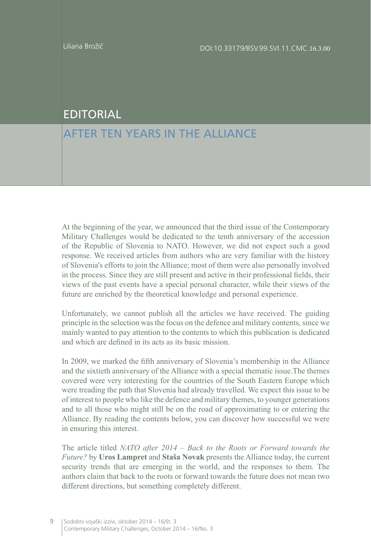## EDITORIAL

## AFTER TEN YEARS IN THE ALLIANCE

At the beginning of the year, we announced that the third issue of the Contemporary Military Challenges would be dedicated to the tenth anniversary of the accession of the Republic of Slovenia to NATO. However, we did not expect such a good response. We received articles from authors who are very familiar with the history of Slovenia's efforts to join the Alliance; most of them were also personally involved in the process. Since they are still present and active in their professional fields, their views of the past events have a special personal character, while their views of the future are enriched by the theoretical knowledge and personal experience.

Unfortunately, we cannot publish all the articles we have received. The guiding principle in the selection was the focus on the defence and military contents, since we mainly wanted to pay attention to the contents to which this publication is dedicated and which are defined in its acts as its basic mission.

In 2009, we marked the fifth anniversary of Slovenia's membership in the Alliance and the sixtieth anniversary of the Alliance with a special thematic issue.The themes covered were very interesting for the countries of the South Eastern Europe which were treading the path that Slovenia had already travelled. We expect this issue to be of interest to people who like the defence and military themes, to younger generations and to all those who might still be on the road of approximating to or entering the Alliance. By reading the contents below, you can discover how successful we were in ensuring this interest.

The article titled *NATO after 2014 – Back to the Roots or Forward towards the Future?* by **Uros Lampret** and **Staša Novak** presents the Alliance today, the current security trends that are emerging in the world, and the responses to them. The authors claim that back to the roots or forward towards the future does not mean two different directions, but something completely different.